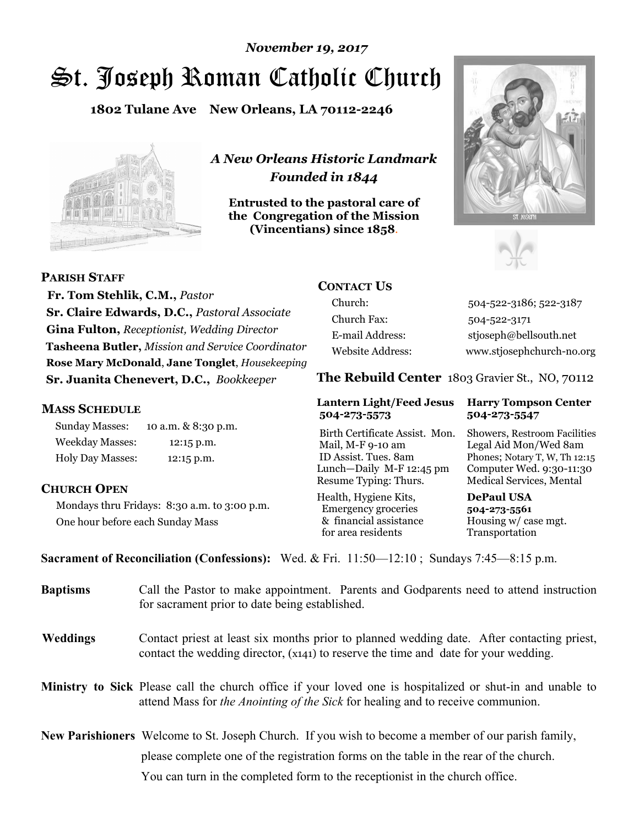# St. Joseph Roman Catholic Church *November 19, 2017*

**1802 Tulane Ave New Orleans, LA 70112-2246**



*A New Orleans Historic Landmark Founded in 1844* 

**Entrusted to the pastoral care of the Congregation of the Mission (Vincentians) since 1858**.





**PARISH STAFF Fr. Tom Stehlik, C.M.,** *Pastor* 

**Sr. Claire Edwards, D.C.,** *Pastoral Associate* **Gina Fulton,** *Receptionist, Wedding Director* **Tasheena Butler,** *Mission and Service Coordinator* **Rose Mary McDonald**, **Jane Tonglet**, *Housekeeping* **Sr. Juanita Chenevert, D.C.,** *Bookkeeper* 

### **MASS SCHEDULE**

Sunday Masses: 10 a.m. & 8:30 p.m. Weekday Masses: 12:15 p.m. Holy Day Masses: 12:15 p.m.

### **CHURCH OPEN**

Mondays thru Fridays: 8:30 a.m. to 3:00 p.m. One hour before each Sunday Mass

# **CONTACT US**

Church: 504-522-3186; 522-3187 Church Fax: 504-522-3171 E-mail Address: stjoseph@bellsouth.net Website Address: www.stjosephchurch-no.org

**The Rebuild Center** 1803 Gravier St., NO, 70112

#### **Lantern Light/Feed Jesus Harry Tompson Center 504-273-5573 504-273-5547**

Birth Certificate Assist. Mon. Showers, Restroom Facilities Mail, M-F 9-10 am Legal Aid Mon/Wed 8am ID Assist. Tues. 8am Phones; Notary T, W, Th 12:15 Lunch—Daily M-F 12:45 pm Computer Wed. 9:30-11:30 Resume Typing: Thurs. Medical Services, Mental

Health, Hygiene Kits, **DePaul USA**  Emergency groceries **504-273-5561** & financial assistance Housing w/ case mgt.<br>for area residents Transportation for area residents

**Sacrament of Reconciliation (Confessions):** Wed. & Fri. 11:50—12:10 ; Sundays 7:45—8:15 p.m.

| <b>Baptisms</b> | Call the Pastor to make appointment. Parents and Godparents need to attend instruction<br>for sacrament prior to date being established.                                                            |  |
|-----------------|-----------------------------------------------------------------------------------------------------------------------------------------------------------------------------------------------------|--|
| <b>Weddings</b> | Contact priest at least six months prior to planned wedding date. After contacting priest,<br>contact the wedding director, (x141) to reserve the time and date for your wedding.                   |  |
|                 | <b>Ministry to Sick</b> Please call the church office if your loved one is hospitalized or shut-in and unable to<br>attend Mass for the Anointing of the Sick for healing and to receive communion. |  |
|                 | <b>New Parishioners</b> Welcome to St. Joseph Church. If you wish to become a member of our parish family,                                                                                          |  |
|                 | please complete one of the registration forms on the table in the rear of the church.                                                                                                               |  |
|                 | You can turn in the completed form to the receptionist in the church office.                                                                                                                        |  |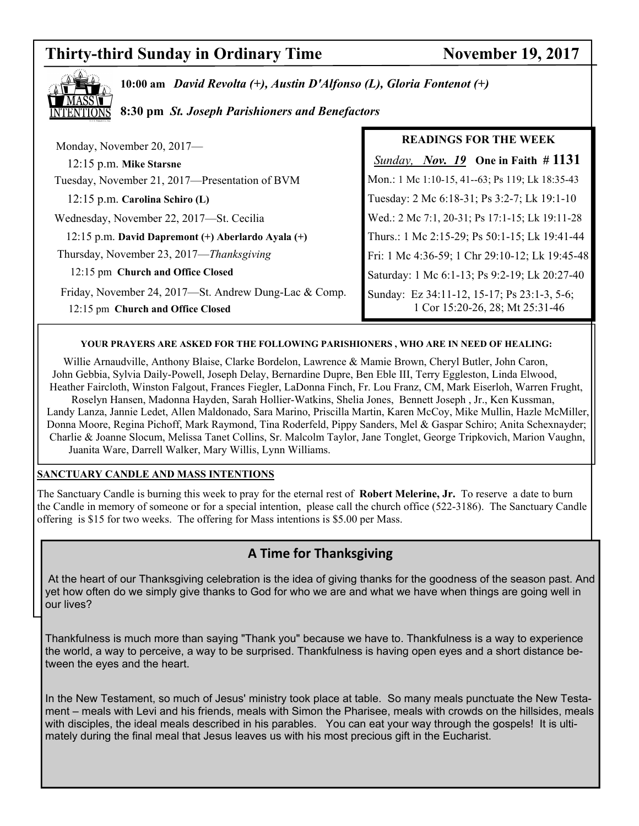# **Thirty-third Sunday in Ordinary Time November 19, 2017**



**10:00 am** *David Revolta (+), Austin D'Alfonso (L), Gloria Fontenot (+)* 

**8:30 pm** *St. Joseph Parishioners and Benefactors*

| Monday, November 20, 2017-                                                                 | <b>READINGS FOR THE WEEK</b>                                                   |
|--------------------------------------------------------------------------------------------|--------------------------------------------------------------------------------|
| 12:15 p.m. Mike Starsne                                                                    | <b>Sunday, Nov. 19</b> One in Faith # $1131$                                   |
| Tuesday, November 21, 2017—Presentation of BVM                                             | Mon.: 1 Mc 1:10-15, 41--63; Ps 119; Lk 18:35-43                                |
| $12:15$ p.m. Carolina Schiro (L)                                                           | Tuesday: 2 Mc 6:18-31; Ps 3:2-7; Lk 19:1-10                                    |
| Wednesday, November 22, 2017-St. Cecilia                                                   | Wed.: 2 Mc 7:1, 20-31; Ps 17:1-15; Lk 19:11-28                                 |
| 12:15 p.m. David Dapremont (+) Aberlardo Ayala (+)                                         | Thurs.: 1 Mc 2:15-29; Ps 50:1-15; Lk 19:41-44                                  |
| Thursday, November 23, 2017-Thanksgiving                                                   | Fri: 1 Mc 4:36-59; 1 Chr 29:10-12; Lk 19:45-48                                 |
| 12:15 pm Church and Office Closed                                                          | Saturday: 1 Mc 6:1-13; Ps 9:2-19; Lk 20:27-40                                  |
| Friday, November 24, 2017-St. Andrew Dung-Lac & Comp.<br>12:15 pm Church and Office Closed | Sunday: Ez 34:11-12, 15-17; Ps 23:1-3, 5-6;<br>1 Cor 15:20-26, 28; Mt 25:31-46 |

#### **YOUR PRAYERS ARE ASKED FOR THE FOLLOWING PARISHIONERS , WHO ARE IN NEED OF HEALING:**

 Willie Arnaudville, Anthony Blaise, Clarke Bordelon, Lawrence & Mamie Brown, Cheryl Butler, John Caron, John Gebbia, Sylvia Daily-Powell, Joseph Delay, Bernardine Dupre, Ben Eble III, Terry Eggleston, Linda Elwood, Heather Faircloth, Winston Falgout, Frances Fiegler, LaDonna Finch, Fr. Lou Franz, CM, Mark Eiserloh, Warren Frught, Roselyn Hansen, Madonna Hayden, Sarah Hollier-Watkins, Shelia Jones, Bennett Joseph , Jr., Ken Kussman, Landy Lanza, Jannie Ledet, Allen Maldonado, Sara Marino, Priscilla Martin, Karen McCoy, Mike Mullin, Hazle McMiller, Donna Moore, Regina Pichoff, Mark Raymond, Tina Roderfeld, Pippy Sanders, Mel & Gaspar Schiro; Anita Schexnayder; Charlie & Joanne Slocum, Melissa Tanet Collins, Sr. Malcolm Taylor, Jane Tonglet, George Tripkovich, Marion Vaughn, Juanita Ware, Darrell Walker, Mary Willis, Lynn Williams.

#### **SANCTUARY CANDLE AND MASS INTENTIONS**

The Sanctuary Candle is burning this week to pray for the eternal rest of **Robert Melerine, Jr.** To reserve a date to burn the Candle in memory of someone or for a special intention, please call the church office (522-3186). The Sanctuary Candle offering is \$15 for two weeks. The offering for Mass intentions is \$5.00 per Mass.

# **A Time for Thanksgiving**

 At the heart of our Thanksgiving celebration is the idea of giving thanks for the goodness of the season past. And yet how often do we simply give thanks to God for who we are and what we have when things are going well in our lives?

Thankfulness is much more than saying "Thank you" because we have to. Thankfulness is a way to experience the world, a way to perceive, a way to be surprised. Thankfulness is having open eyes and a short distance between the eyes and the heart.

In the New Testament, so much of Jesus' ministry took place at table. So many meals punctuate the New Testament – meals with Levi and his friends, meals with Simon the Pharisee, meals with crowds on the hillsides, meals with disciples, the ideal meals described in his parables. You can eat your way through the gospels! It is ultimately during the final meal that Jesus leaves us with his most precious gift in the Eucharist.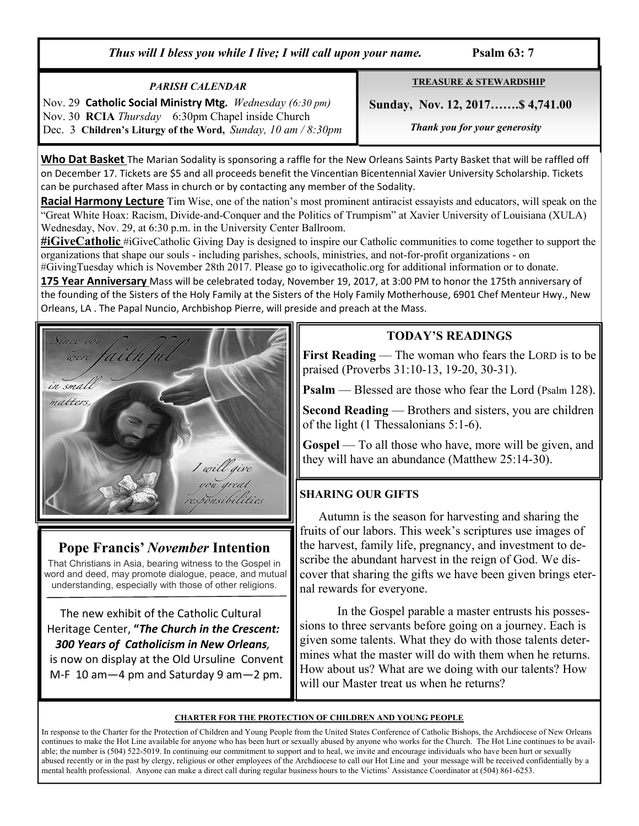*Thus will I bless you while I live; I will call upon your name.* Psalm 63: 7

### *PARISH CALENDAR*

Nov. 29 **Catholic Social Ministry Mtg.** *Wednesday (6:30 pm)*  Nov. 30 **RCIA** *Thursday* 6:30pm Chapel inside Church Dec. 3 **Children's Liturgy of the Word,** *Sunday, 10 am / 8:30pm* **TREASURE & STEWARDSHIP**

 **Sunday, Nov. 12, 2017…….\$ 4,741.00** 

 *Thank you for your generosity* 

**Who Dat Basket** The Marian Sodality is sponsoring a raffle for the New Orleans Saints Party Basket that will be raffled off on December 17. Tickets are \$5 and all proceeds benefit the Vincentian Bicentennial Xavier University Scholarship. Tickets can be purchased after Mass in church or by contacting any member of the Sodality.

**Racial Harmony Lecture** Tim Wise, one of the nation's most prominent antiracist essayists and educators, will speak on the "Great White Hoax: Racism, Divide-and-Conquer and the Politics of Trumpism" at Xavier University of Louisiana (XULA) Wednesday, Nov. 29, at 6:30 p.m. in the University Center Ballroom.

**#iGiveCatholic** #iGiveCatholic Giving Day is designed to inspire our Catholic communities to come together to support the organizations that shape our souls - including parishes, schools, ministries, and not-for-profit organizations - on

#GivingTuesday which is November 28th 2017. Please go to igivecatholic.org for additional information or to donate.

**175 Year Anniversary** Mass will be celebrated today, November 19, 2017, at 3:00 PM to honor the 175th anniversary of the founding of the Sisters of the Holy Family at the Sisters of the Holy Family Motherhouse, 6901 Chef Menteur Hwy., New Orleans, LA . The Papal Nuncio, Archbishop Pierre, will preside and preach at the Mass.



# **Pope Francis'** *November* **Intention**

That Christians in Asia, bearing witness to the Gospel in word and deed, may promote dialogue, peace, and mutual understanding, especially with those of other religions.

 The new exhibit of the Catholic Cultural Heritage Center, **"***The Church in the Crescent: 300 Years of Catholicism in New Orleans,*  is now on display at the Old Ursuline Convent M-F 10 am—4 pm and Saturday 9 am—2 pm.

# **TODAY'S READINGS**

**First Reading** — The woman who fears the LORD is to be praised (Proverbs 31:10-13, 19-20, 30-31).

**Psalm** — Blessed are those who fear the Lord (Psalm 128).

**Second Reading** — Brothers and sisters, you are children of the light (1 Thessalonians 5:1-6).

**Gospel** — To all those who have, more will be given, and they will have an abundance (Matthew 25:14-30).

# **SHARING OUR GIFTS**

 Autumn is the season for harvesting and sharing the fruits of our labors. This week's scriptures use images of the harvest, family life, pregnancy, and investment to describe the abundant harvest in the reign of God. We discover that sharing the gifts we have been given brings eternal rewards for everyone.

 In the Gospel parable a master entrusts his possessions to three servants before going on a journey. Each is given some talents. What they do with those talents determines what the master will do with them when he returns. How about us? What are we doing with our talents? How will our Master treat us when he returns?

#### **CHARTER FOR THE PROTECTION OF CHILDREN AND YOUNG PEOPLE**

In response to the Charter for the Protection of Children and Young People from the United States Conference of Catholic Bishops, the Archdiocese of New Orleans continues to make the Hot Line available for anyone who has been hurt or sexually abused by anyone who works for the Church. The Hot Line continues to be available; the number is (504) 522-5019. In continuing our commitment to support and to heal, we invite and encourage individuals who have been hurt or sexually abused recently or in the past by clergy, religious or other employees of the Archdiocese to call our Hot Line and your message will be received confidentially by a mental health professional. Anyone can make a direct call during regular business hours to the Victims' Assistance Coordinator at (504) 861-6253.